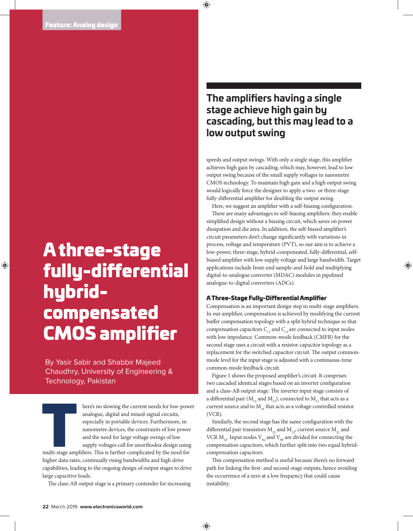# A three-stage fully-differential hybridcompensated CMOS amplifier

By Yasir Sabir and Shabbir Majeed Chaudhry, University of Engineering & Technology, Pakistan

here's no slowing the current needs for low-power<br>
analogue, digital and mixed-signal circuits,<br>
especially in portable devices. Furthermore, in<br>
nanometre devices, the constraints of low power<br>
and the need for large volt analogue, digital and mixed-signal circuits, especially in portable devices. Furthermore, in nanometre devices, the constraints of low power and the need for large voltage swings of low supply voltages call for unorthodox design using

higher data rates, continually rising bandwidths and high drive capabilities, leading to the ongoing design of output stages to drive large capacitive loads.

The class-AB output stage is a primary contender for increasing

# **The amplifiers having a single stage achieve high gain by cascading, but this may lead to a low output swing**

speeds and output swings. With only a single stage, this amplifier achieves high gain by cascading, which may, however, lead to low output swing because of the small supply voltages in nanometre CMOS technology. To maintain high gain and a high output swing would logically force the designer to apply a two- or three-stage fully-differential amplifier for doubling the output swing.

Here, we suggest an amplifier with a self-biasing configuration. There are many advantages to self-biasing amplifiers: they enable simplified design without a biasing circuit, which saves on power dissipation and die area. In addition, the self-biased amplifier's circuit parameters don't change signicantly with variations in process, voltage and temperature (PVT), so our aim is to achieve a low-power, three-stage, hybrid-compensated, fully-differential, selfbiased amplifier with low supply voltage and large bandwidth. Target applications include front-end sample-and-hold and multiplying digital-to-analogue converter (MDAC) modules in pipelined analogue-to-digital converters (ADCs).

## A Three-Stage Fully-Differential Amplifier

Compensation is an important design step in multi-stage amplifiers. In our amplifier, compensation is achieved by modifying the current buffer compensation topology with a split hybrid technique so that compensation capacitors  $C_{1}$  and  $C_{2}$  are connected to input nodes with low impedance. Common-mode feedback (CMFB) for the second stage uses a circuit with a resistor-capacitor topology as a replacement for the switched capacitor circuit. The output commonmode level for the input stage is adjusted with a continuous-time common-mode feedback circuit.

Figure 1 shows the proposed amplifier's circuit. It comprises two cascaded identical stages based on an inverter configuration and a class-AB output stage. The inverter input stage consists of a differential pair ( $M_{12}$  and  $M_{13}$ ), connected to  $M_{11}$  that acts as a current source and to  $M<sub>14</sub>$  that acts as a voltage-controlled resistor (VCR).

Similarly, the second stage has the same configuration with the differential pair transistors  $M_{22}$  and  $M_{22}$ , current source  $M_{21}$  and VCR  $M_{24}$ . Input nodes  $V_{ba}$  and  $V_{bb}$  are divided for connecting the compensation capacitors, which further split into two equal hybridcompensation capacitors.

This compensation method is useful because there's no forward path for linking the first- and second-stage outputs, hence avoiding the occurrence of a zero at a low frequency that could cause instability.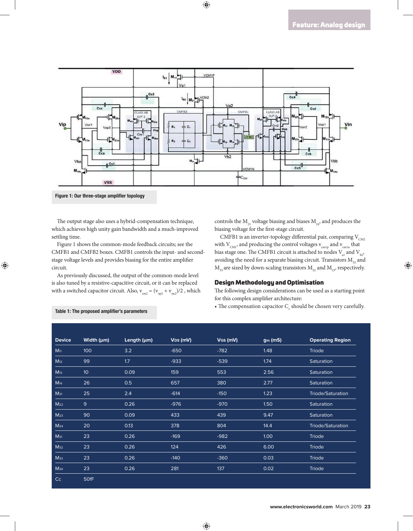

Figure 1: Our three-stage amplifier topology

The output stage also uses a hybrid-compensation technique, which achieves high unity gain bandwidth and a much-improved settling time.

Figure 1 shows the common-mode feedback circuits; see the CMFB1 and CMFB2 boxes. CMFB1 controls the input- and secondstage voltage levels and provides biasing for the entire amplifier circuit.

As previously discussed, the output of the common-mode level is also tuned by a resistive-capacitive circuit, or it can be replaced with a switched capacitor circuit. Also,  $v_{cm2} = (v_{cm2} + v_{cm2})/2$ , which controls the  $M_{21}$  voltage biasing and biases  $M_{24}$ , and produces the biasing voltage for the first-stage circuit.

CMFB1 is an inverter-topology differential pair, comparing  $V_{CM2}$ with  $\rm V_{\rm CM1}$  and producing the control voltages  $\rm v_{\rm cmlp}$  and  $\rm v_{\rm cmln}$  that bias stage one. The CMFB1 circuit is attached to nodes  $V_{a1}$  and  $V_{b2}$ , avoiding the need for a separate biasing circuit. Transistors  $M_{32}$  and  $M_{33}$  are sized by down-scaling transistors  $M_{22}$  and  $M_{23}$ , respectively.

### Design Methodology and Optimisation

The following design considerations can be used as a starting point for this complex amplifier architecture:

• The compensation capacitor  $C_{\rm c}$  should be chosen very carefully.

| <b>Device</b>   | Width $(\mu m)$ | Length $(\mu m)$ | $V_{DS}$ (mV) | VGS (mV) | gm(mS) | <b>Operating Region</b>  |
|-----------------|-----------------|------------------|---------------|----------|--------|--------------------------|
|                 |                 |                  |               |          |        |                          |
| $M_{11}$        | 100             | 3.2              | $-650$        | $-782$   | 1.48   | Triode                   |
| M <sub>12</sub> | 99              | 1.7              | $-933$        | $-539$   | 1.74   | Saturation               |
| M <sub>13</sub> | 10 <sup>°</sup> | 0.09             | 159           | 553      | 2.56   | Saturation               |
| M <sub>14</sub> | 26              | 0.5              | 657           | 380      | 2.77   | Saturation               |
| M <sub>21</sub> | 25              | 2.4              | $-614$        | $-150$   | 1.23   | Triode/Saturation        |
| $M_{22}$        | 9               | 0.26             | $-976$        | $-970$   | 1.50   | Saturation               |
| M <sub>23</sub> | 90              | 0.09             | 433           | 439      | 9.47   | Saturation               |
| $M_{24}$        | 20              | 0.13             | 378           | 804      | 14.4   | <b>Triode/Saturation</b> |
| $M_{31}$        | 23              | 0.26             | $-169$        | $-982$   | 1.00   | Triode                   |
| M <sub>32</sub> | 23              | 0.26             | 124           | 426      | 6.00   | Triode                   |
| Мзз             | 23              | 0.26             | $-140$        | $-360$   | 0.03   | Triode                   |
| <b>М</b> з4     | 23              | 0.26             | 281           | 137      | 0.02   | Triode                   |
| C <sub>c</sub>  | 50fF            |                  |               |          |        |                          |

#### Table 1: The proposed amplifier's parameters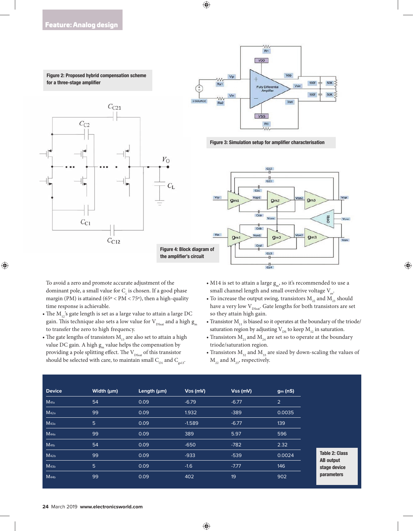



Figure 3: Simulation setup for amplifier characterisation



To avoid a zero and promote accurate adjustment of the dominant pole, a small value for  $C_{\varepsilon}$  is chosen. If a good phase margin (PM) is attained ( $65^{\circ}$  < PM <  $75^{\circ}$ ), then a high-quality time response is achievable.

- The  $M_{12}$ 's gate length is set as a large value to attain a large DC gain. This technique also sets a low value for  $\rm V_{DSsat}$  and a high  $\rm g_{m}$ to transfer the zero to high frequency.
- The gate lengths of transistors  $M_{13}$  are also set to attain a high value DC gain. A high  $g_m$  value helps the compensation by providing a pole splitting effect. The  $\rm V_{DSsat}$  of this transistor should be selected with care, to maintain small  $C_{\text{O1}}$  and  $C_{\text{S3}}$ .
- M14 is set to attain a large  $g_m$ , so it's recommended to use a small channel length and small overdrive voltage  $V_{ov}$ .
- To increase the output swing, transistors  $M_{22}$  and  $M_{23}$  should have a very low  $\rm V_{DSsat}.$  Gate lengths for both transistors are set so they attain high gain.
- Transistor  $M_{11}$  is biased so it operates at the boundary of the triode/ saturation region by adjusting  $V_{DS}$  to keep  $M_{12}$  in saturation.
- Transistors  $M_{21}$  and  $M_{24}$  are set so to operate at the boundary triode/saturation region.
- Transistors  $M_{32}$  and  $M_{33}$  are sized by down-scaling the values of  $M_{22}$  and  $M_{23}$ , respectively.

| <b>Device</b>    | Width $(\mu m)$ | Length $(\mu m)$ | $VDS$ (mV) | $V$ GS (mV) | gm(nS)         |
|------------------|-----------------|------------------|------------|-------------|----------------|
| M <sub>41a</sub> | 54              | 0.09             | $-6.79$    | $-6.77$     | $\overline{2}$ |
| M <sub>42a</sub> | 99              | 0.09             | 1.932      | $-389$      | 0.0035         |
| <b>М</b> 43а     | $5\overline{)}$ | 0.09             | $-1.589$   | $-6.77$     | 139            |
| M <sub>44a</sub> | 99              | 0.09             | 389        | 5.97        | 596            |
| $M_{41b}$        | 54              | 0.09             | $-650$     | $-782$      | 2.32           |
| M <sub>42b</sub> | 99              | 0.09             | $-933$     | $-539$      | 0.0024         |
| M <sub>43b</sub> | 5               | 0.09             | $-1.6$     | $-7.77$     | 146            |
| $M_{44b}$        | 99              | 0.09             | 402        | 19          | 902            |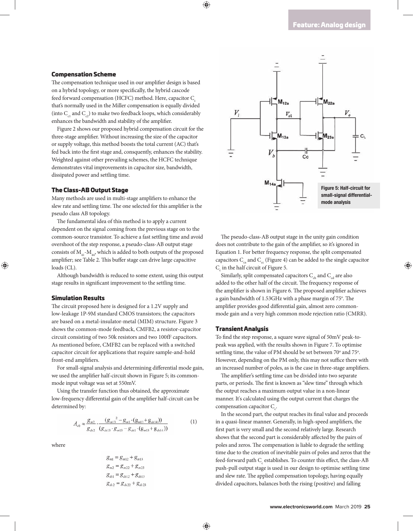#### Compensation Scheme

The compensation technique used in our amplifier design is based on a hybrid topology, or more specifically, the hybrid cascode feed forward compensation (HCFC) method. Here, capacitor C that's normally used in the Miller compensation is equally divided (into  $C_{c1}$  and  $C_{c2}$ ) to make two feedback loops, which considerably enhances the bandwidth and stability of the amplifier.

Figure 2 shows our proposed hybrid compensation circuit for the three-stage amplifier. Without increasing the size of the capacitor or supply voltage, this method boosts the total current (AC) that's fed back into the first stage and, consquently, enhances the stability. Weighted against other prevailing schemes, the HCFC technique demonstrates vital improvements in capacitor size, bandwidth, dissipated power and settling time.

#### The Class-AB Output Stage

Many methods are used in multi-stage amplifiers to enhance the slew rate and settling time. The one selected for this amplifier is the pseudo class AB topology.

The fundamental idea of this method is to apply a current dependent on the signal coming from the previous stage on to the common-source transistor. To achieve a fast settling time and avoid overshoot of the step response, a pseudo-class-AB output stage consists of  $M_{41}$ - $M_{44}$ , which is added to both outputs of the proposed amplifier; see Table 2. This buffer stage can drive large capacitive loads (CL).

Although bandwidth is reduced to some extent, using this output stage results in significant improvement to the settling time.

#### Simulation Results

The circuit proposed here is designed for a 1.2V supply and low-leakage 1P-9M standard CMOS transistors; the capacitors are based on a metal-insulator-metal (MIM) structure. Figure 3 shows the common-mode feedback, CMFB2, a resistor-capacitor circuit consisting of two 50k resistors and two 100fF capacitors. As mentioned before, CMFB2 can be replaced with a switched capacitor circuit for applications that require sample-and-hold front-end amplifiers.

For small-signal analysis and determining differential mode gain, we used the amplifier half-circuit shown in Figure 5; its commonmode input voltage was set at 550mV.

Using the transfer function thus obtained, the approximate low-frequency differential gain of the amplifier half-circuit can be determined by:

$$
A_{v0} \approx \frac{g_{m2}}{g_{ds2}} \cdot \frac{(g_{m13}^2 - g_{m1} \cdot (g_{m13} + g_{ds14}))}{(g_{ds13} \cdot g_{m13} - g_{ds1} \cdot (g_{m13} + g_{ds14}))}
$$
(1)

where

$$
g_{m1} = g_{m12} + g_{m13}
$$
  
\n
$$
g_{m2} = g_{m22} + g_{m23}
$$
  
\n
$$
g_{ds1} = g_{ds12} + g_{ds13}
$$
  
\n
$$
g_{ds2} = g_{ds22} + g_{ds23}
$$



The pseudo-class-AB output stage in the unity gain condition does not contribute to the gain of the amplifier, so it's ignored in Equation 1. For better frequency response, the split compensated capacitors  $C_{c}$  and  $C_{c}$  (Figure 4) can be added to the single capacitor  $C_c$  in the half circuit of Figure 5.

Similarly, split compensated capacitors  $C_{cb}$  and  $C_{cd}$  are also added to the other half of the circuit. The frequency response of the amplifier is shown in Figure 6. The proposed amplifier achieves a gain bandwidth of 1.53GHz with a phase margin of 75°. The amplifier provides good differential gain, almost zero commonmode gain and a very high common mode rejection ratio (CMRR).

#### Transient Analysis

To find the step response, a square wave signal of 50mV peak-topeak was applied, with the results shown in Figure 7. To optimise settling time, the value of PM should be set between 70° and 75°. However, depending on the PM only, this may not suffice there with an increased number of poles, as is the case in three-stage amplifiers.

The amplifier's settling time can be divided into two separate parts, or periods. The first is known as "slew time" through which the output reaches a maximum output value in a non-linear manner. It's calculated using the output current that charges the compensation capacitor  $C_c$ .

In the second part, the output reaches its final value and proceeds in a quasi-linear manner. Generally, in high-speed amplifiers, the first part is very small and the second relatively large. Research shows that the second part is considerably affected by the pairs of poles and zeros. The compensation is liable to degrade the settling time due to the creation of inevitable pairs of poles and zeros that the feed-forward path  $C_c$  establishes. To counter this effect, the class-AB push-pull output stage is used in our design to optimise settling time and slew rate. The applied compensation topology, having equally divided capacitors, balances both the rising (positive) and falling